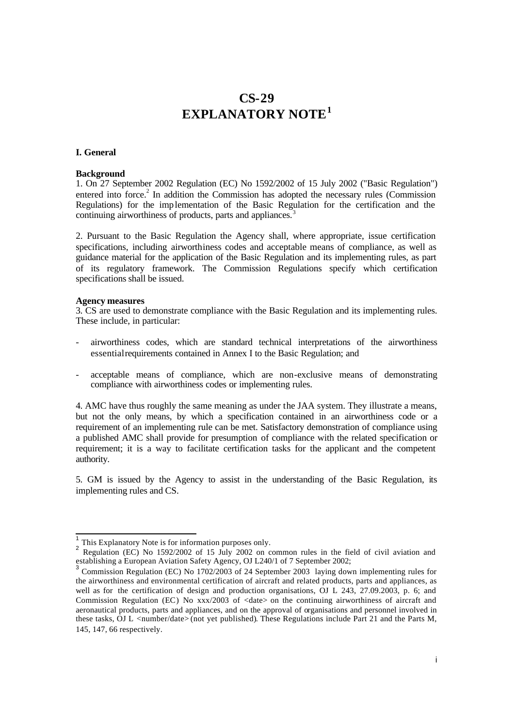# **CS-29 EXPLANATORY NOTE<sup>1</sup>**

## **I. General**

## **Background**

1. On 27 September 2002 Regulation (EC) No 1592/2002 of 15 July 2002 ("Basic Regulation") entered into force.<sup>2</sup> In addition the Commission has adopted the necessary rules (Commission Regulations) for the implementation of the Basic Regulation for the certification and the continuing airworthiness of products, parts and appliances.<sup>3</sup>

2. Pursuant to the Basic Regulation the Agency shall, where appropriate, issue certification specifications, including airworthiness codes and acceptable means of compliance, as well as guidance material for the application of the Basic Regulation and its implementing rules, as part of its regulatory framework. The Commission Regulations specify which certification specifications shall be issued.

#### **Agency measures**

l

3. CS are used to demonstrate compliance with the Basic Regulation and its implementing rules. These include, in particular:

- airworthiness codes, which are standard technical interpretations of the airworthiness essential requirements contained in Annex I to the Basic Regulation; and
- acceptable means of compliance, which are non-exclusive means of demonstrating compliance with airworthiness codes or implementing rules.

4. AMC have thus roughly the same meaning as under the JAA system. They illustrate a means, but not the only means, by which a specification contained in an airworthiness code or a requirement of an implementing rule can be met. Satisfactory demonstration of compliance using a published AMC shall provide for presumption of compliance with the related specification or requirement; it is a way to facilitate certification tasks for the applicant and the competent authority.

5. GM is issued by the Agency to assist in the understanding of the Basic Regulation, its implementing rules and CS.

<sup>1</sup> This Explanatory Note is for information purposes only.

<sup>&</sup>lt;sup>2</sup> Regulation (EC) No 1592/2002 of 15 July 2002 on common rules in the field of civil aviation and establishing a European Aviation Safety Agency, OJ L240/1 of 7 September 2002;<br><sup>3</sup> Centralism Bernhalter (EQ) Nr. 1702/0002 of 24 September 2002, Jacine Age

Commission Regulation (EC) No 1702/2003 of 24 September 2003 laying down implementing rules for the airworthiness and environmental certification of aircraft and related products, parts and appliances, as well as for the certification of design and production organisations, OJ L 243, 27.09.2003, p. 6; and Commission Regulation (EC) No xxx/2003 of <date> on the continuing airworthiness of aircraft and aeronautical products, parts and appliances, and on the approval of organisations and personnel involved in these tasks, OJ L <number/date> (not yet published). These Regulations include Part 21 and the Parts M, 145, 147, 66 respectively.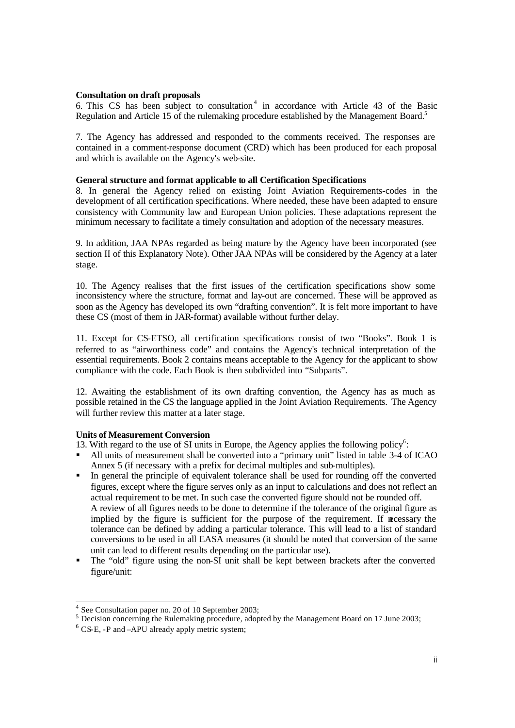#### **Consultation on draft proposals**

6. This CS has been subject to consultation<sup>4</sup> in accordance with Article 43 of the Basic Regulation and Article 15 of the rulemaking procedure established by the Management Board.<sup>5</sup>

7. The Agency has addressed and responded to the comments received. The responses are contained in a comment-response document (CRD) which has been produced for each proposal and which is available on the Agency's web-site.

# **General structure and format applicable to all Certification Specifications**

8. In general the Agency relied on existing Joint Aviation Requirements-codes in the development of all certification specifications. Where needed, these have been adapted to ensure consistency with Community law and European Union policies. These adaptations represent the minimum necessary to facilitate a timely consultation and adoption of the necessary measures.

9. In addition, JAA NPAs regarded as being mature by the Agency have been incorporated (see section II of this Explanatory Note). Other JAA NPAs will be considered by the Agency at a later stage.

10. The Agency realises that the first issues of the certification specifications show some inconsistency where the structure, format and lay-out are concerned. These will be approved as soon as the Agency has developed its own "drafting convention". It is felt more important to have these CS (most of them in JAR-format) available without further delay.

11. Except for CS-ETSO, all certification specifications consist of two "Books". Book 1 is referred to as "airworthiness code" and contains the Agency's technical interpretation of the essential requirements. Book 2 contains means acceptable to the Agency for the applicant to show compliance with the code. Each Book is then subdivided into "Subparts".

12. Awaiting the establishment of its own drafting convention, the Agency has as much as possible retained in the CS the language applied in the Joint Aviation Requirements. The Agency will further review this matter at a later stage.

#### **Units of Measurement Conversion**

13. With regard to the use of SI units in Europe, the Agency applies the following policy<sup>6</sup>:

- ß All units of measurement shall be converted into a "primary unit" listed in table 3-4 of ICAO Annex 5 (if necessary with a prefix for decimal multiples and sub-multiples).
- ß In general the principle of equivalent tolerance shall be used for rounding off the converted figures, except where the figure serves only as an input to calculations and does not reflect an actual requirement to be met. In such case the converted figure should not be rounded off. A review of all figures needs to be done to determine if the tolerance of the original figure as implied by the figure is sufficient for the purpose of the requirement. If  $\arccos\arctan\frac{1}{2}$  is sufficient for the purpose of the requirement. If  $\arccos\arctan\frac{1}{2}$ tolerance can be defined by adding a particular tolerance. This will lead to a list of standard conversions to be used in all EASA measures (it should be noted that conversion of the same unit can lead to different results depending on the particular use).
- ß The "old" figure using the non-SI unit shall be kept between brackets after the converted figure/unit:

l

<sup>&</sup>lt;sup>4</sup> See Consultation paper no. 20 of 10 September 2003;

 $5$  Decision concerning the Rulemaking procedure, adopted by the Management Board on 17 June 2003;

<sup>&</sup>lt;sup>6</sup> CS-E, -P and -APU already apply metric system;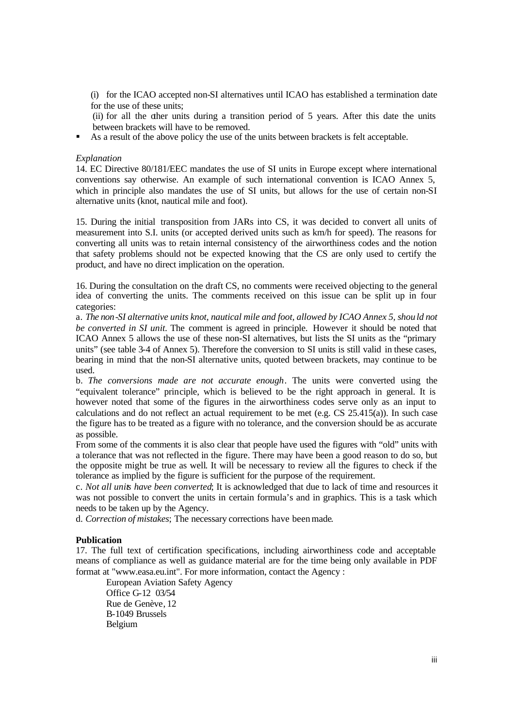(i) for the ICAO accepted non-SI alternatives until ICAO has established a termination date for the use of these units;

(ii) for all the other units during a transition period of 5 years. After this date the units between brackets will have to be removed.

As a result of the above policy the use of the units between brackets is felt acceptable.

#### *Explanation*

14. EC Directive 80/181/EEC mandates the use of SI units in Europe except where international conventions say otherwise. An example of such international convention is ICAO Annex 5, which in principle also mandates the use of SI units, but allows for the use of certain non-SI alternative units (knot, nautical mile and foot).

15. During the initial transposition from JARs into CS, it was decided to convert all units of measurement into S.I. units (or accepted derived units such as km/h for speed). The reasons for converting all units was to retain internal consistency of the airworthiness codes and the notion that safety problems should not be expected knowing that the CS are only used to certify the product, and have no direct implication on the operation.

16. During the consultation on the draft CS, no comments were received objecting to the general idea of converting the units. The comments received on this issue can be split up in four categories:

a. *The non-SI alternative units knot, nautical mile and foot, allowed by ICAO Annex 5, shou ld not be converted in SI unit.* The comment is agreed in principle. However it should be noted that ICAO Annex 5 allows the use of these non-SI alternatives, but lists the SI units as the "primary units" (see table 3-4 of Annex 5). Therefore the conversion to SI units is still valid in these cases, bearing in mind that the non-SI alternative units, quoted between brackets, may continue to be used.

b. *The conversions made are not accurate enough*. The units were converted using the "equivalent tolerance" principle, which is believed to be the right approach in general. It is however noted that some of the figures in the airworthiness codes serve only as an input to calculations and do not reflect an actual requirement to be met (e.g. CS 25.415(a)). In such case the figure has to be treated as a figure with no tolerance, and the conversion should be as accurate as possible.

From some of the comments it is also clear that people have used the figures with "old" units with a tolerance that was not reflected in the figure. There may have been a good reason to do so, but the opposite might be true as well. It will be necessary to review all the figures to check if the tolerance as implied by the figure is sufficient for the purpose of the requirement.

c. *Not all units have been converted*; It is acknowledged that due to lack of time and resources it was not possible to convert the units in certain formula's and in graphics. This is a task which needs to be taken up by the Agency.

d. *Correction of mistakes*; The necessary corrections have been made.

#### **Publication**

17. The full text of certification specifications, including airworthiness code and acceptable means of compliance as well as guidance material are for the time being only available in PDF format at "www.easa.eu.int". For more information, contact the Agency :

European Aviation Safety Agency Office G-12 03/54 Rue de Genève, 12 B-1049 Brussels Belgium